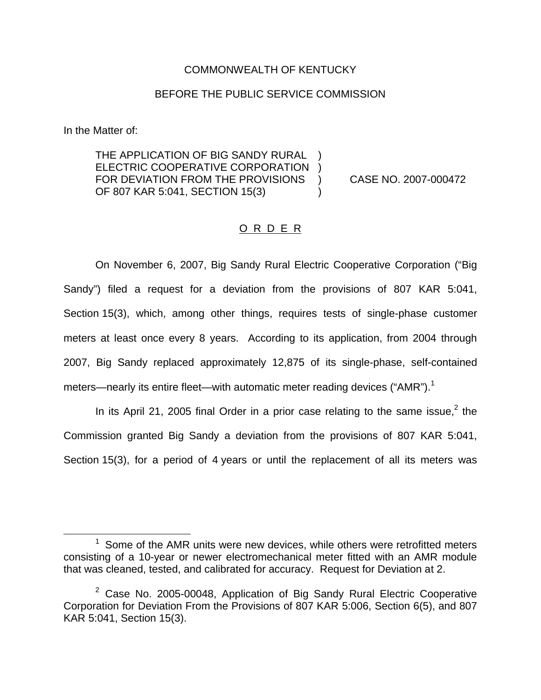## COMMONWEALTH OF KENTUCKY

## BEFORE THE PUBLIC SERVICE COMMISSION

In the Matter of:

THE APPLICATION OF BIG SANDY RURAL ELECTRIC COOPERATIVE CORPORATION ) FOR DEVIATION FROM THE PROVISIONS ) CASE NO. 2007-000472 OF 807 KAR 5:041, SECTION 15(3) (19)

## O R D E R

On November 6, 2007, Big Sandy Rural Electric Cooperative Corporation ("Big Sandy") filed a request for a deviation from the provisions of 807 KAR 5:041, Section 15(3), which, among other things, requires tests of single-phase customer meters at least once every 8 years. According to its application, from 2004 through 2007, Big Sandy replaced approximately 12,875 of its single-phase, self-contained meters—nearly its entire fleet—with automatic meter reading devices ("AMR").<sup>1</sup>

In its April 21, 2005 final Order in a prior case relating to the same issue,  $2$  the Commission granted Big Sandy a deviation from the provisions of 807 KAR 5:041, Section 15(3), for a period of 4 years or until the replacement of all its meters was

 $1$  Some of the AMR units were new devices, while others were retrofitted meters consisting of a 10-year or newer electromechanical meter fitted with an AMR module that was cleaned, tested, and calibrated for accuracy. Request for Deviation at 2.

 $2$  Case No. 2005-00048, Application of Big Sandy Rural Electric Cooperative Corporation for Deviation From the Provisions of 807 KAR 5:006, Section 6(5), and 807 KAR 5:041, Section 15(3).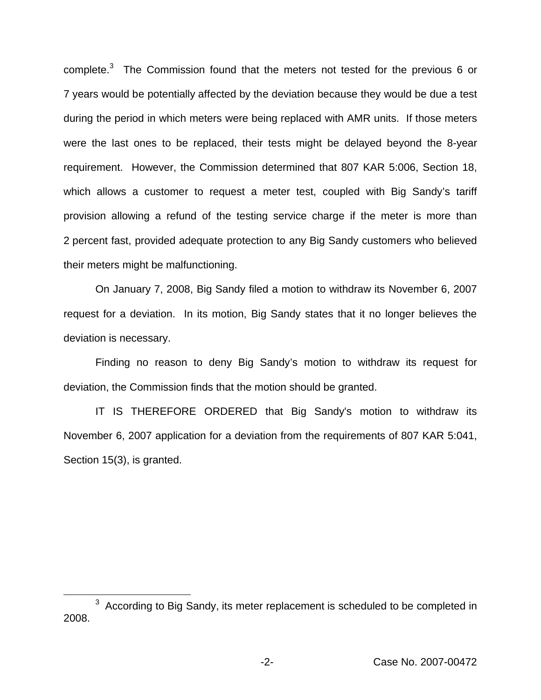complete.<sup>3</sup> The Commission found that the meters not tested for the previous 6 or 7 years would be potentially affected by the deviation because they would be due a test during the period in which meters were being replaced with AMR units. If those meters were the last ones to be replaced, their tests might be delayed beyond the 8-year requirement. However, the Commission determined that 807 KAR 5:006, Section 18, which allows a customer to request a meter test, coupled with Big Sandy's tariff provision allowing a refund of the testing service charge if the meter is more than 2 percent fast, provided adequate protection to any Big Sandy customers who believed their meters might be malfunctioning.

On January 7, 2008, Big Sandy filed a motion to withdraw its November 6, 2007 request for a deviation. In its motion, Big Sandy states that it no longer believes the deviation is necessary.

Finding no reason to deny Big Sandy's motion to withdraw its request for deviation, the Commission finds that the motion should be granted.

IT IS THEREFORE ORDERED that Big Sandy's motion to withdraw its November 6, 2007 application for a deviation from the requirements of 807 KAR 5:041, Section 15(3), is granted.

<sup>&</sup>lt;sup>3</sup> According to Big Sandy, its meter replacement is scheduled to be completed in 2008.